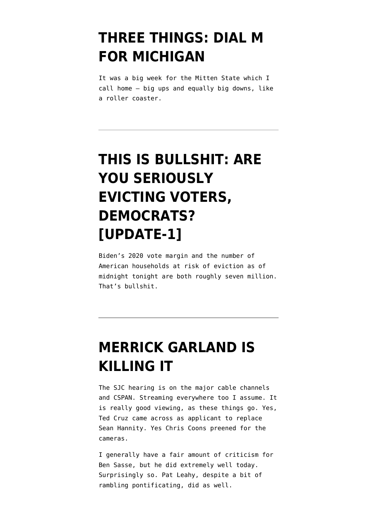### **[THREE THINGS: DIAL M](https://www.emptywheel.net/2022/04/24/three-things-dial-m-for-michigan/) [FOR MICHIGAN](https://www.emptywheel.net/2022/04/24/three-things-dial-m-for-michigan/)**

It was a big week for the Mitten State which I call home — big ups and equally big downs, like a roller coaster.

# **[THIS IS BULLSHIT: ARE](https://www.emptywheel.net/2021/07/31/this-is-bullshit-are-you-seriously-evicting-voters-democrats/) [YOU SERIOUSLY](https://www.emptywheel.net/2021/07/31/this-is-bullshit-are-you-seriously-evicting-voters-democrats/) [EVICTING VOTERS,](https://www.emptywheel.net/2021/07/31/this-is-bullshit-are-you-seriously-evicting-voters-democrats/) [DEMOCRATS?](https://www.emptywheel.net/2021/07/31/this-is-bullshit-are-you-seriously-evicting-voters-democrats/) [\[UPDATE-1\]](https://www.emptywheel.net/2021/07/31/this-is-bullshit-are-you-seriously-evicting-voters-democrats/)**

Biden's 2020 vote margin and the number of American households at risk of eviction as of midnight tonight are both roughly seven million. That's bullshit.

#### **[MERRICK GARLAND IS](https://www.emptywheel.net/2021/02/22/merrick-garland-is-killing-it/) [KILLING IT](https://www.emptywheel.net/2021/02/22/merrick-garland-is-killing-it/)**

The SJC hearing is on the major cable channels and CSPAN. Streaming everywhere too I assume. It is really good viewing, as these things go. Yes, Ted Cruz came across as applicant to replace Sean Hannity. Yes Chris Coons preened for the cameras.

I generally have a fair amount of criticism for Ben Sasse, but he did extremely well today. Surprisingly so. Pat Leahy, despite a bit of rambling pontificating, did as well.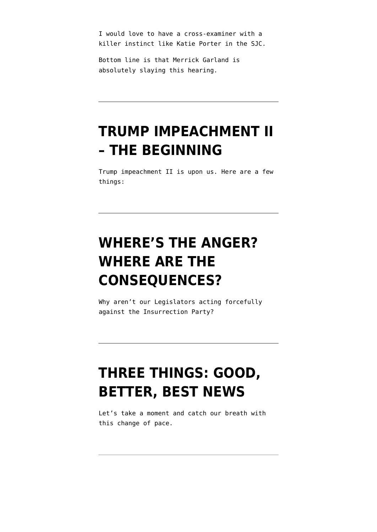I would love to have a cross-examiner with a killer instinct like Katie Porter in the SJC.

Bottom line is that Merrick Garland is absolutely slaying this hearing.

#### **[TRUMP IMPEACHMENT II](https://www.emptywheel.net/2021/02/09/trump-impeachment-ii-the-beginning/) [– THE BEGINNING](https://www.emptywheel.net/2021/02/09/trump-impeachment-ii-the-beginning/)**

Trump impeachment II is upon us. Here are a few things:

# **[WHERE'S THE ANGER?](https://www.emptywheel.net/2021/01/16/wheres-the-anger-where-are-the-consequences/) [WHERE ARE THE](https://www.emptywheel.net/2021/01/16/wheres-the-anger-where-are-the-consequences/) [CONSEQUENCES?](https://www.emptywheel.net/2021/01/16/wheres-the-anger-where-are-the-consequences/)**

Why aren't our Legislators acting forcefully against the Insurrection Party?

### **[THREE THINGS: GOOD,](https://www.emptywheel.net/2021/01/14/three-things-good-better-best-news/) [BETTER, BEST NEWS](https://www.emptywheel.net/2021/01/14/three-things-good-better-best-news/)**

Let's take a moment and catch our breath with this change of pace.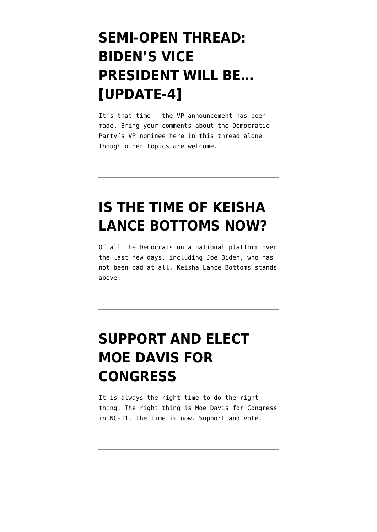# **[SEMI-OPEN THREAD:](https://www.emptywheel.net/2020/08/11/semi-open-thread-bidens-vice-president-will-be/) [BIDEN'S VICE](https://www.emptywheel.net/2020/08/11/semi-open-thread-bidens-vice-president-will-be/) [PRESIDENT WILL BE…](https://www.emptywheel.net/2020/08/11/semi-open-thread-bidens-vice-president-will-be/) [\[UPDATE-4\]](https://www.emptywheel.net/2020/08/11/semi-open-thread-bidens-vice-president-will-be/)**

It's that time – the VP announcement has been made. Bring your comments about the Democratic Party's VP nominee here in this thread alone though other topics are welcome.

## **[IS THE TIME OF KEISHA](https://www.emptywheel.net/2020/05/30/is-the-time-of-keisha-lance-bottoms-now/) [LANCE BOTTOMS NOW?](https://www.emptywheel.net/2020/05/30/is-the-time-of-keisha-lance-bottoms-now/)**

Of all the Democrats on a national platform over the last few days, including Joe Biden, who has not been bad at all, Keisha Lance Bottoms stands above.

# **[SUPPORT AND ELECT](https://www.emptywheel.net/2020/03/28/support-and-elect-moe-davis-for-congress/) [MOE DAVIS FOR](https://www.emptywheel.net/2020/03/28/support-and-elect-moe-davis-for-congress/) [CONGRESS](https://www.emptywheel.net/2020/03/28/support-and-elect-moe-davis-for-congress/)**

It is always the right time to do the right thing. The right thing is Moe Davis for Congress in NC-11. The time is now. Support and vote.